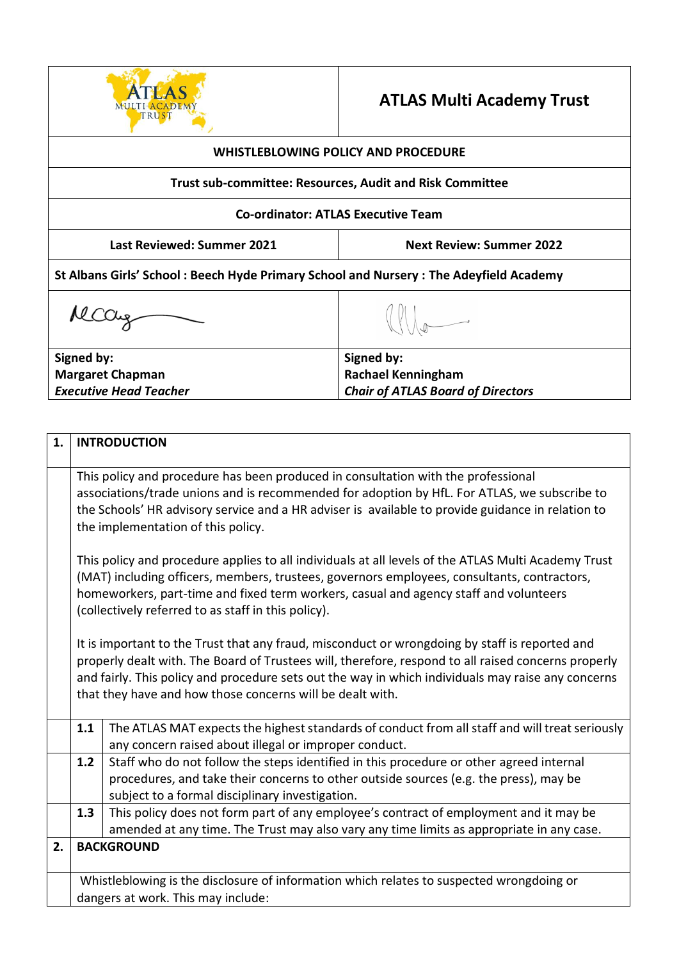

## **ATLAS Multi Academy Trust**

| <b>WHISTLEBLOWING POLICY AND PROCEDURE</b>                                            |                                                                                     |  |
|---------------------------------------------------------------------------------------|-------------------------------------------------------------------------------------|--|
| <b>Trust sub-committee: Resources, Audit and Risk Committee</b>                       |                                                                                     |  |
|                                                                                       | <b>Co-ordinator: ATLAS Executive Team</b>                                           |  |
| <b>Last Reviewed: Summer 2021</b>                                                     | <b>Next Review: Summer 2022</b>                                                     |  |
| St Albans Girls' School: Beech Hyde Primary School and Nursery: The Adeyfield Academy |                                                                                     |  |
|                                                                                       |                                                                                     |  |
| Signed by:<br><b>Margaret Chapman</b><br><b>Executive Head Teacher</b>                | Signed by:<br><b>Rachael Kenningham</b><br><b>Chair of ATLAS Board of Directors</b> |  |

| 1. |                                                                                                     | <b>INTRODUCTION</b>                                                                                                                                                               |
|----|-----------------------------------------------------------------------------------------------------|-----------------------------------------------------------------------------------------------------------------------------------------------------------------------------------|
|    |                                                                                                     |                                                                                                                                                                                   |
|    |                                                                                                     | This policy and procedure has been produced in consultation with the professional<br>associations/trade unions and is recommended for adoption by HfL. For ATLAS, we subscribe to |
|    |                                                                                                     | the Schools' HR advisory service and a HR adviser is available to provide guidance in relation to                                                                                 |
|    |                                                                                                     | the implementation of this policy.                                                                                                                                                |
|    |                                                                                                     |                                                                                                                                                                                   |
|    | This policy and procedure applies to all individuals at all levels of the ATLAS Multi Academy Trust |                                                                                                                                                                                   |
|    | (MAT) including officers, members, trustees, governors employees, consultants, contractors,         |                                                                                                                                                                                   |
|    |                                                                                                     | homeworkers, part-time and fixed term workers, casual and agency staff and volunteers<br>(collectively referred to as staff in this policy).                                      |
|    |                                                                                                     |                                                                                                                                                                                   |
|    | It is important to the Trust that any fraud, misconduct or wrongdoing by staff is reported and      |                                                                                                                                                                                   |
|    |                                                                                                     | properly dealt with. The Board of Trustees will, therefore, respond to all raised concerns properly                                                                               |
|    |                                                                                                     | and fairly. This policy and procedure sets out the way in which individuals may raise any concerns                                                                                |
|    |                                                                                                     | that they have and how those concerns will be dealt with.                                                                                                                         |
|    | 1.1                                                                                                 | The ATLAS MAT expects the highest standards of conduct from all staff and will treat seriously                                                                                    |
|    |                                                                                                     | any concern raised about illegal or improper conduct.                                                                                                                             |
|    | 1.2                                                                                                 | Staff who do not follow the steps identified in this procedure or other agreed internal                                                                                           |
|    |                                                                                                     | procedures, and take their concerns to other outside sources (e.g. the press), may be                                                                                             |
|    |                                                                                                     | subject to a formal disciplinary investigation.                                                                                                                                   |
|    | 1.3                                                                                                 | This policy does not form part of any employee's contract of employment and it may be                                                                                             |
|    |                                                                                                     | amended at any time. The Trust may also vary any time limits as appropriate in any case.                                                                                          |
| 2. | <b>BACKGROUND</b>                                                                                   |                                                                                                                                                                                   |
|    |                                                                                                     |                                                                                                                                                                                   |
|    | Whistleblowing is the disclosure of information which relates to suspected wrongdoing or            |                                                                                                                                                                                   |
|    | dangers at work. This may include:                                                                  |                                                                                                                                                                                   |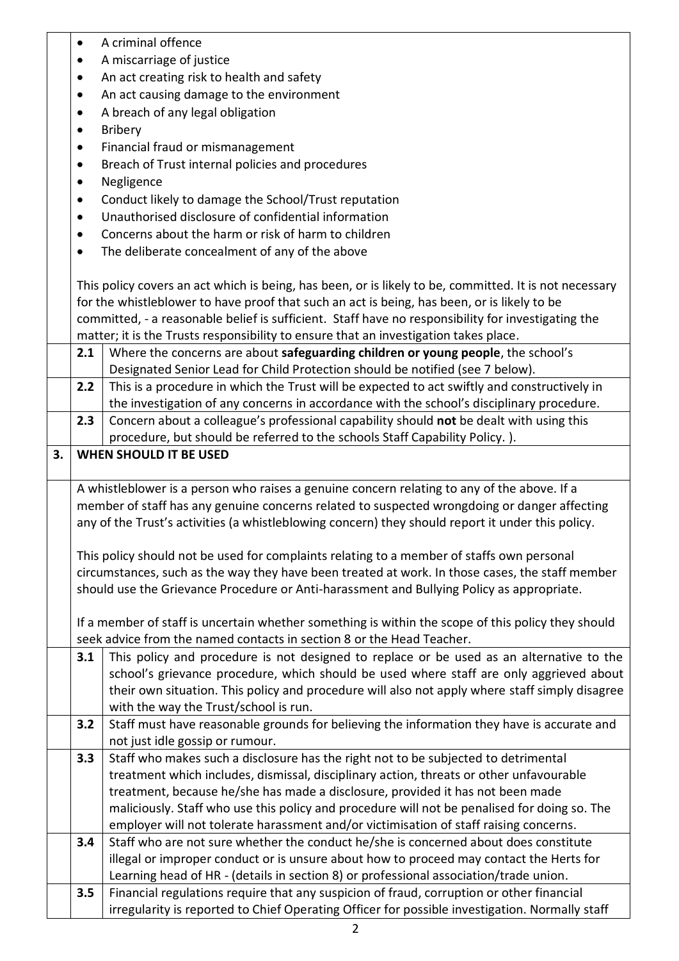|    | $\bullet$                                                        | A criminal offence                                                                                                                                                            |  |
|----|------------------------------------------------------------------|-------------------------------------------------------------------------------------------------------------------------------------------------------------------------------|--|
|    |                                                                  | A miscarriage of justice                                                                                                                                                      |  |
|    | $\bullet$                                                        | An act creating risk to health and safety                                                                                                                                     |  |
|    | $\bullet$                                                        | An act causing damage to the environment                                                                                                                                      |  |
|    | $\bullet$                                                        | A breach of any legal obligation                                                                                                                                              |  |
|    | $\bullet$                                                        | Bribery                                                                                                                                                                       |  |
|    | $\bullet$                                                        | Financial fraud or mismanagement                                                                                                                                              |  |
|    | ٠                                                                | Breach of Trust internal policies and procedures                                                                                                                              |  |
|    | $\bullet$                                                        | Negligence                                                                                                                                                                    |  |
|    | Conduct likely to damage the School/Trust reputation<br>٠        |                                                                                                                                                                               |  |
|    | Unauthorised disclosure of confidential information<br>$\bullet$ |                                                                                                                                                                               |  |
|    | Concerns about the harm or risk of harm to children<br>$\bullet$ |                                                                                                                                                                               |  |
|    |                                                                  | The deliberate concealment of any of the above                                                                                                                                |  |
|    |                                                                  |                                                                                                                                                                               |  |
|    |                                                                  | This policy covers an act which is being, has been, or is likely to be, committed. It is not necessary                                                                        |  |
|    |                                                                  | for the whistleblower to have proof that such an act is being, has been, or is likely to be                                                                                   |  |
|    |                                                                  | committed, - a reasonable belief is sufficient. Staff have no responsibility for investigating the                                                                            |  |
|    |                                                                  | matter; it is the Trusts responsibility to ensure that an investigation takes place.                                                                                          |  |
|    | 2.1                                                              | Where the concerns are about safeguarding children or young people, the school's                                                                                              |  |
|    |                                                                  | Designated Senior Lead for Child Protection should be notified (see 7 below).                                                                                                 |  |
|    | 2.2                                                              | This is a procedure in which the Trust will be expected to act swiftly and constructively in                                                                                  |  |
|    |                                                                  | the investigation of any concerns in accordance with the school's disciplinary procedure.                                                                                     |  |
|    | 2.3                                                              | Concern about a colleague's professional capability should not be dealt with using this                                                                                       |  |
|    |                                                                  | procedure, but should be referred to the schools Staff Capability Policy.).                                                                                                   |  |
| 3. |                                                                  | <b>WHEN SHOULD IT BE USED</b>                                                                                                                                                 |  |
|    |                                                                  |                                                                                                                                                                               |  |
|    |                                                                  | A whistleblower is a person who raises a genuine concern relating to any of the above. If a                                                                                   |  |
|    |                                                                  | member of staff has any genuine concerns related to suspected wrongdoing or danger affecting                                                                                  |  |
|    |                                                                  | any of the Trust's activities (a whistleblowing concern) they should report it under this policy.                                                                             |  |
|    |                                                                  |                                                                                                                                                                               |  |
|    |                                                                  | This policy should not be used for complaints relating to a member of staffs own personal                                                                                     |  |
|    |                                                                  | circumstances, such as the way they have been treated at work. In those cases, the staff member                                                                               |  |
|    |                                                                  | should use the Grievance Procedure or Anti-harassment and Bullying Policy as appropriate.                                                                                     |  |
|    |                                                                  |                                                                                                                                                                               |  |
|    |                                                                  | If a member of staff is uncertain whether something is within the scope of this policy they should                                                                            |  |
|    |                                                                  | seek advice from the named contacts in section 8 or the Head Teacher.                                                                                                         |  |
|    | 3.1                                                              | This policy and procedure is not designed to replace or be used as an alternative to the                                                                                      |  |
|    |                                                                  | school's grievance procedure, which should be used where staff are only aggrieved about                                                                                       |  |
|    |                                                                  | their own situation. This policy and procedure will also not apply where staff simply disagree                                                                                |  |
|    |                                                                  | with the way the Trust/school is run.                                                                                                                                         |  |
|    | 3.2                                                              | Staff must have reasonable grounds for believing the information they have is accurate and                                                                                    |  |
|    |                                                                  | not just idle gossip or rumour.                                                                                                                                               |  |
|    | 3.3                                                              | Staff who makes such a disclosure has the right not to be subjected to detrimental<br>treatment which includes, dismissal, disciplinary action, threats or other unfavourable |  |
|    |                                                                  |                                                                                                                                                                               |  |
|    |                                                                  | treatment, because he/she has made a disclosure, provided it has not been made                                                                                                |  |
|    |                                                                  | maliciously. Staff who use this policy and procedure will not be penalised for doing so. The                                                                                  |  |
|    | 3.4                                                              | employer will not tolerate harassment and/or victimisation of staff raising concerns.<br>Staff who are not sure whether the conduct he/she is concerned about does constitute |  |
|    |                                                                  | illegal or improper conduct or is unsure about how to proceed may contact the Herts for                                                                                       |  |
|    |                                                                  |                                                                                                                                                                               |  |
|    | 3.5                                                              | Learning head of HR - (details in section 8) or professional association/trade union.                                                                                         |  |
|    |                                                                  | Financial regulations require that any suspicion of fraud, corruption or other financial                                                                                      |  |
|    |                                                                  | irregularity is reported to Chief Operating Officer for possible investigation. Normally staff                                                                                |  |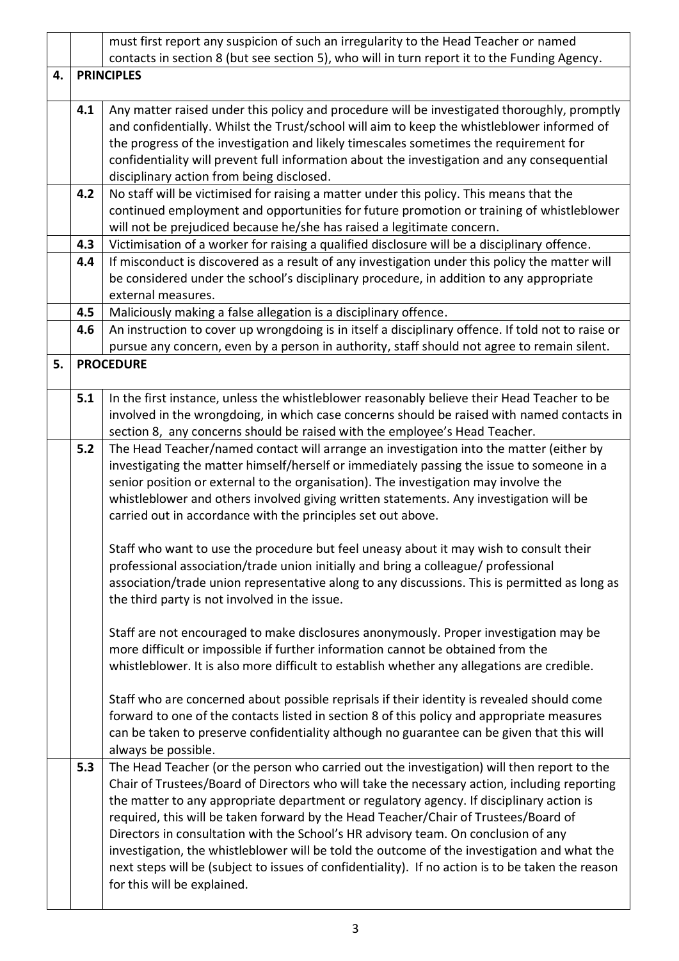|    |     | must first report any suspicion of such an irregularity to the Head Teacher or named               |  |
|----|-----|----------------------------------------------------------------------------------------------------|--|
|    |     | contacts in section 8 (but see section 5), who will in turn report it to the Funding Agency.       |  |
| 4. |     | <b>PRINCIPLES</b>                                                                                  |  |
|    | 4.1 | Any matter raised under this policy and procedure will be investigated thoroughly, promptly        |  |
|    |     | and confidentially. Whilst the Trust/school will aim to keep the whistleblower informed of         |  |
|    |     | the progress of the investigation and likely timescales sometimes the requirement for              |  |
|    |     | confidentiality will prevent full information about the investigation and any consequential        |  |
|    |     |                                                                                                    |  |
|    |     | disciplinary action from being disclosed.                                                          |  |
|    | 4.2 | No staff will be victimised for raising a matter under this policy. This means that the            |  |
|    |     | continued employment and opportunities for future promotion or training of whistleblower           |  |
|    |     | will not be prejudiced because he/she has raised a legitimate concern.                             |  |
|    | 4.3 | Victimisation of a worker for raising a qualified disclosure will be a disciplinary offence.       |  |
|    | 4.4 | If misconduct is discovered as a result of any investigation under this policy the matter will     |  |
|    |     | be considered under the school's disciplinary procedure, in addition to any appropriate            |  |
|    |     | external measures.                                                                                 |  |
|    | 4.5 | Maliciously making a false allegation is a disciplinary offence.                                   |  |
|    | 4.6 | An instruction to cover up wrongdoing is in itself a disciplinary offence. If told not to raise or |  |
|    |     | pursue any concern, even by a person in authority, staff should not agree to remain silent.        |  |
| 5. |     | <b>PROCEDURE</b>                                                                                   |  |
|    |     |                                                                                                    |  |
|    | 5.1 | In the first instance, unless the whistleblower reasonably believe their Head Teacher to be        |  |
|    |     | involved in the wrongdoing, in which case concerns should be raised with named contacts in         |  |
|    |     | section 8, any concerns should be raised with the employee's Head Teacher.                         |  |
|    | 5.2 | The Head Teacher/named contact will arrange an investigation into the matter (either by            |  |
|    |     | investigating the matter himself/herself or immediately passing the issue to someone in a          |  |
|    |     | senior position or external to the organisation). The investigation may involve the                |  |
|    |     | whistleblower and others involved giving written statements. Any investigation will be             |  |
|    |     | carried out in accordance with the principles set out above.                                       |  |
|    |     | Staff who want to use the procedure but feel uneasy about it may wish to consult their             |  |
|    |     | professional association/trade union initially and bring a colleague/ professional                 |  |
|    |     | association/trade union representative along to any discussions. This is permitted as long as      |  |
|    |     | the third party is not involved in the issue.                                                      |  |
|    |     |                                                                                                    |  |
|    |     | Staff are not encouraged to make disclosures anonymously. Proper investigation may be              |  |
|    |     | more difficult or impossible if further information cannot be obtained from the                    |  |
|    |     | whistleblower. It is also more difficult to establish whether any allegations are credible.        |  |
|    |     |                                                                                                    |  |
|    |     | Staff who are concerned about possible reprisals if their identity is revealed should come         |  |
|    |     | forward to one of the contacts listed in section 8 of this policy and appropriate measures         |  |
|    |     | can be taken to preserve confidentiality although no guarantee can be given that this will         |  |
|    |     | always be possible.                                                                                |  |
|    | 5.3 | The Head Teacher (or the person who carried out the investigation) will then report to the         |  |
|    |     | Chair of Trustees/Board of Directors who will take the necessary action, including reporting       |  |
|    |     | the matter to any appropriate department or regulatory agency. If disciplinary action is           |  |
|    |     | required, this will be taken forward by the Head Teacher/Chair of Trustees/Board of                |  |
|    |     | Directors in consultation with the School's HR advisory team. On conclusion of any                 |  |
|    |     | investigation, the whistleblower will be told the outcome of the investigation and what the        |  |
|    |     | next steps will be (subject to issues of confidentiality). If no action is to be taken the reason  |  |
|    |     | for this will be explained.                                                                        |  |
|    |     |                                                                                                    |  |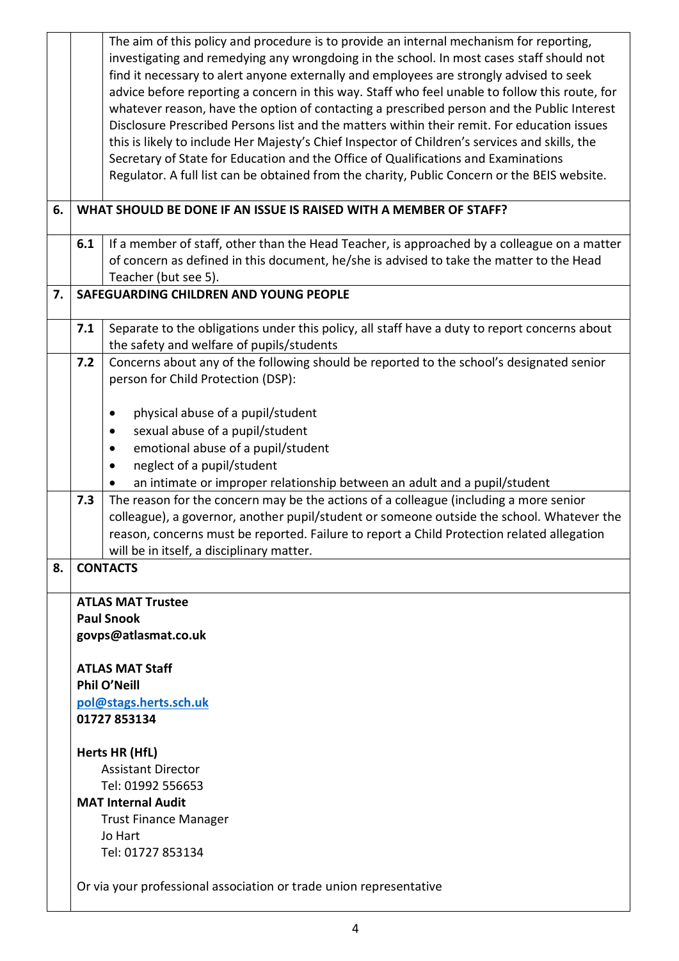|    |     | The aim of this policy and procedure is to provide an internal mechanism for reporting,<br>investigating and remedying any wrongdoing in the school. In most cases staff should not<br>find it necessary to alert anyone externally and employees are strongly advised to seek<br>advice before reporting a concern in this way. Staff who feel unable to follow this route, for<br>whatever reason, have the option of contacting a prescribed person and the Public Interest<br>Disclosure Prescribed Persons list and the matters within their remit. For education issues<br>this is likely to include Her Majesty's Chief Inspector of Children's services and skills, the<br>Secretary of State for Education and the Office of Qualifications and Examinations<br>Regulator. A full list can be obtained from the charity, Public Concern or the BEIS website. |
|----|-----|-----------------------------------------------------------------------------------------------------------------------------------------------------------------------------------------------------------------------------------------------------------------------------------------------------------------------------------------------------------------------------------------------------------------------------------------------------------------------------------------------------------------------------------------------------------------------------------------------------------------------------------------------------------------------------------------------------------------------------------------------------------------------------------------------------------------------------------------------------------------------|
| 6. |     | WHAT SHOULD BE DONE IF AN ISSUE IS RAISED WITH A MEMBER OF STAFF?                                                                                                                                                                                                                                                                                                                                                                                                                                                                                                                                                                                                                                                                                                                                                                                                     |
|    | 6.1 | If a member of staff, other than the Head Teacher, is approached by a colleague on a matter<br>of concern as defined in this document, he/she is advised to take the matter to the Head<br>Teacher (but see 5).                                                                                                                                                                                                                                                                                                                                                                                                                                                                                                                                                                                                                                                       |
| 7. |     | SAFEGUARDING CHILDREN AND YOUNG PEOPLE                                                                                                                                                                                                                                                                                                                                                                                                                                                                                                                                                                                                                                                                                                                                                                                                                                |
|    | 7.1 | Separate to the obligations under this policy, all staff have a duty to report concerns about<br>the safety and welfare of pupils/students                                                                                                                                                                                                                                                                                                                                                                                                                                                                                                                                                                                                                                                                                                                            |
|    | 7.2 | Concerns about any of the following should be reported to the school's designated senior<br>person for Child Protection (DSP):                                                                                                                                                                                                                                                                                                                                                                                                                                                                                                                                                                                                                                                                                                                                        |
|    |     | physical abuse of a pupil/student                                                                                                                                                                                                                                                                                                                                                                                                                                                                                                                                                                                                                                                                                                                                                                                                                                     |
|    |     | sexual abuse of a pupil/student                                                                                                                                                                                                                                                                                                                                                                                                                                                                                                                                                                                                                                                                                                                                                                                                                                       |
|    |     | emotional abuse of a pupil/student                                                                                                                                                                                                                                                                                                                                                                                                                                                                                                                                                                                                                                                                                                                                                                                                                                    |
|    |     | neglect of a pupil/student                                                                                                                                                                                                                                                                                                                                                                                                                                                                                                                                                                                                                                                                                                                                                                                                                                            |
|    |     | an intimate or improper relationship between an adult and a pupil/student                                                                                                                                                                                                                                                                                                                                                                                                                                                                                                                                                                                                                                                                                                                                                                                             |
|    | 7.3 | The reason for the concern may be the actions of a colleague (including a more senior<br>colleague), a governor, another pupil/student or someone outside the school. Whatever the<br>reason, concerns must be reported. Failure to report a Child Protection related allegation<br>will be in itself, a disciplinary matter.                                                                                                                                                                                                                                                                                                                                                                                                                                                                                                                                         |
| 8. |     | <b>CONTACTS</b>                                                                                                                                                                                                                                                                                                                                                                                                                                                                                                                                                                                                                                                                                                                                                                                                                                                       |
|    |     |                                                                                                                                                                                                                                                                                                                                                                                                                                                                                                                                                                                                                                                                                                                                                                                                                                                                       |
|    |     | <b>ATLAS MAT Trustee</b>                                                                                                                                                                                                                                                                                                                                                                                                                                                                                                                                                                                                                                                                                                                                                                                                                                              |
|    |     | <b>Paul Snook</b>                                                                                                                                                                                                                                                                                                                                                                                                                                                                                                                                                                                                                                                                                                                                                                                                                                                     |
|    |     | govps@atlasmat.co.uk                                                                                                                                                                                                                                                                                                                                                                                                                                                                                                                                                                                                                                                                                                                                                                                                                                                  |
|    |     | <b>ATLAS MAT Staff</b>                                                                                                                                                                                                                                                                                                                                                                                                                                                                                                                                                                                                                                                                                                                                                                                                                                                |
|    |     | <b>Phil O'Neill</b>                                                                                                                                                                                                                                                                                                                                                                                                                                                                                                                                                                                                                                                                                                                                                                                                                                                   |
|    |     | pol@stags.herts.sch.uk<br>01727 853134                                                                                                                                                                                                                                                                                                                                                                                                                                                                                                                                                                                                                                                                                                                                                                                                                                |
|    |     | Herts HR (HfL)<br><b>Assistant Director</b>                                                                                                                                                                                                                                                                                                                                                                                                                                                                                                                                                                                                                                                                                                                                                                                                                           |
|    |     | Tel: 01992 556653                                                                                                                                                                                                                                                                                                                                                                                                                                                                                                                                                                                                                                                                                                                                                                                                                                                     |
|    |     | <b>MAT Internal Audit</b>                                                                                                                                                                                                                                                                                                                                                                                                                                                                                                                                                                                                                                                                                                                                                                                                                                             |
|    |     | <b>Trust Finance Manager</b>                                                                                                                                                                                                                                                                                                                                                                                                                                                                                                                                                                                                                                                                                                                                                                                                                                          |
|    |     | Jo Hart                                                                                                                                                                                                                                                                                                                                                                                                                                                                                                                                                                                                                                                                                                                                                                                                                                                               |
|    |     | Tel: 01727 853134                                                                                                                                                                                                                                                                                                                                                                                                                                                                                                                                                                                                                                                                                                                                                                                                                                                     |
|    |     | Or via your professional association or trade union representative                                                                                                                                                                                                                                                                                                                                                                                                                                                                                                                                                                                                                                                                                                                                                                                                    |